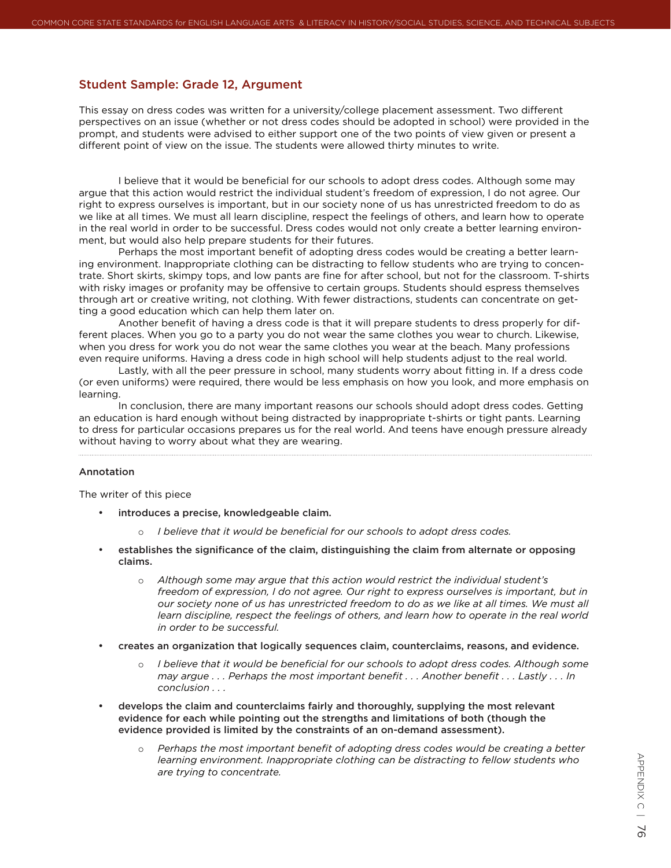# Student Sample: Grade 12, Argument

This essay on dress codes was written for a university/college placement assessment. Two different perspectives on an issue (whether or not dress codes should be adopted in school) were provided in the prompt, and students were advised to either support one of the two points of view given or present a different point of view on the issue. The students were allowed thirty minutes to write.

I believe that it would be beneficial for our schools to adopt dress codes. Although some may argue that this action would restrict the individual student's freedom of expression, I do not agree. Our right to express ourselves is important, but in our society none of us has unrestricted freedom to do as we like at all times. We must all learn discipline, respect the feelings of others, and learn how to operate in the real world in order to be successful. Dress codes would not only create a better learning environment, but would also help prepare students for their futures.

Perhaps the most important benefit of adopting dress codes would be creating a better learning environment. Inappropriate clothing can be distracting to fellow students who are trying to concentrate. Short skirts, skimpy tops, and low pants are fine for after school, but not for the classroom. T-shirts with risky images or profanity may be offensive to certain groups. Students should espress themselves through art or creative writing, not clothing. With fewer distractions, students can concentrate on getting a good education which can help them later on.

Another benefit of having a dress code is that it will prepare students to dress properly for different places. When you go to a party you do not wear the same clothes you wear to church. Likewise, when you dress for work you do not wear the same clothes you wear at the beach. Many professions even require uniforms. Having a dress code in high school will help students adjust to the real world.

Lastly, with all the peer pressure in school, many students worry about fitting in. If a dress code (or even uniforms) were required, there would be less emphasis on how you look, and more emphasis on learning.

In conclusion, there are many important reasons our schools should adopt dress codes. Getting an education is hard enough without being distracted by inappropriate t-shirts or tight pants. Learning to dress for particular occasions prepares us for the real world. And teens have enough pressure already without having to worry about what they are wearing.

### Annotation

The writer of this piece

- introduces a precise, knowledgeable claim.
	- *I believe that it would be beneficial for our schools to adopt dress codes.*
- establishes the significance of the claim, distinguishing the claim from alternate or opposing claims.
	- o *Although some may argue that this action would restrict the individual student's freedom of expression, I do not agree. Our right to express ourselves is important, but in our society none of us has unrestricted freedom to do as we like at all times. We must all learn discipline, respect the feelings of others, and learn how to operate in the real world in order to be successful.*
- creates an organization that logically sequences claim, counterclaims, reasons, and evidence.
	- o *I believe that it would be beneficial for our schools to adopt dress codes. Although some may argue . . . Perhaps the most important benefit . . . Another benefit . . . Lastly . . . In conclusion . . .*
- develops the claim and counterclaims fairly and thoroughly, supplying the most relevant evidence for each while pointing out the strengths and limitations of both (though the evidence provided is limited by the constraints of an on-demand assessment).
	- *Perhaps the most important benefit of adopting dress codes would be creating a better learning environment. Inappropriate clothing can be distracting to fellow students who are trying to concentrate.*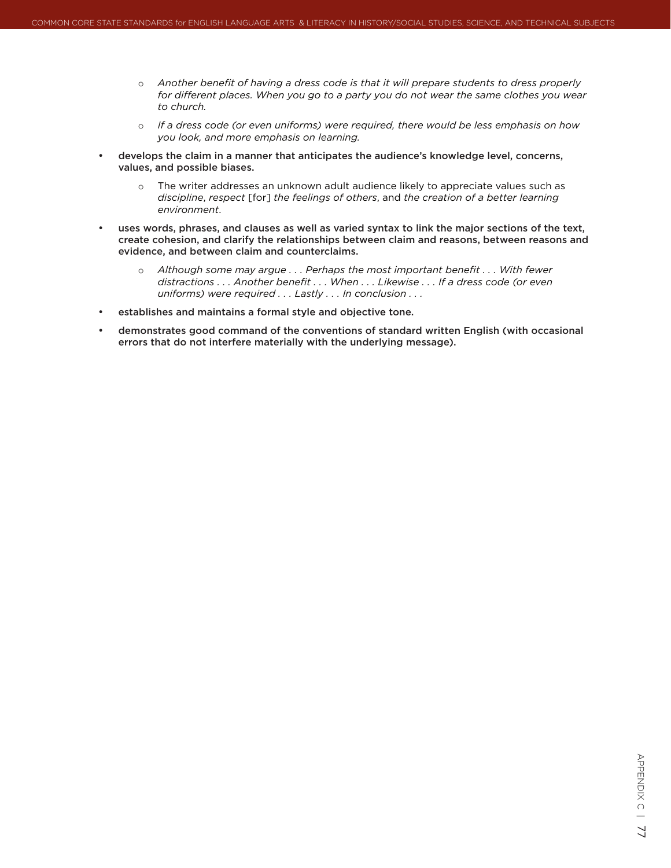- o *Another benefit of having a dress code is that it will prepare students to dress properly for different places. When you go to a party you do not wear the same clothes you wear to church.*
- o *If a dress code (or even uniforms) were required, there would be less emphasis on how you look, and more emphasis on learning.*
- develops the claim in a manner that anticipates the audience's knowledge level, concerns, values, and possible biases.
	- $\circ$  The writer addresses an unknown adult audience likely to appreciate values such as *discipline*, *respect* [for] *the feelings of others*, and *the creation of a better learning environment*.
- uses words, phrases, and clauses as well as varied syntax to link the major sections of the text, create cohesion, and clarify the relationships between claim and reasons, between reasons and evidence, and between claim and counterclaims.
	- o Although some may argue . . . Perhaps the most important benefit . . . With fewer *distractions . . . Another benefit . . . When . . . Likewise . . . If a dress code (or even uniforms) were required . . . Lastly . . . In conclusion . . .*
- establishes and maintains a formal style and objective tone.
- demonstrates good command of the conventions of standard written English (with occasional errors that do not interfere materially with the underlying message).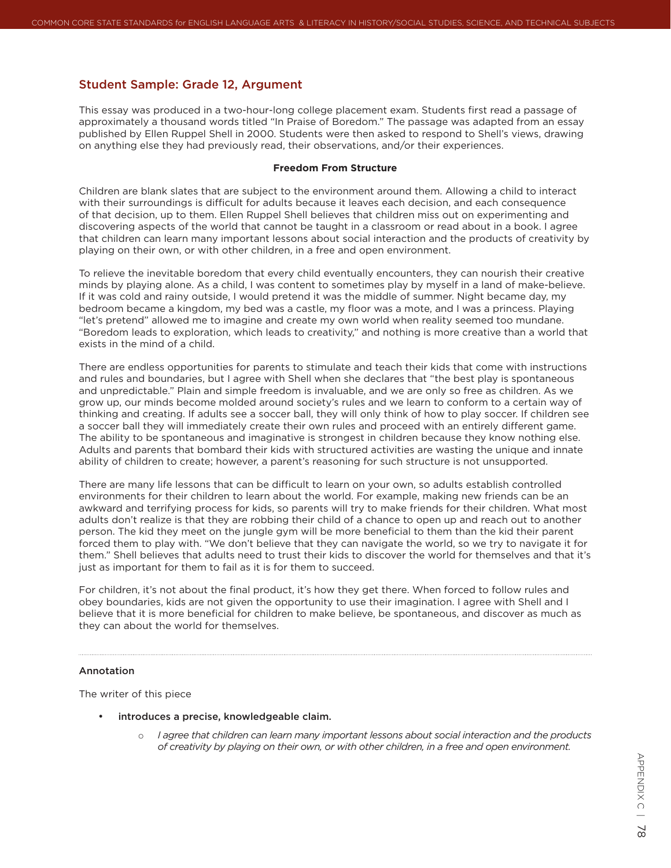# Student Sample: Grade 12, Argument

This essay was produced in a two-hour-long college placement exam. Students first read a passage of approximately a thousand words titled "In Praise of Boredom." The passage was adapted from an essay published by Ellen Ruppel Shell in 2000. Students were then asked to respond to Shell's views, drawing on anything else they had previously read, their observations, and/or their experiences.

#### **Freedom From Structure**

Children are blank slates that are subject to the environment around them. Allowing a child to interact with their surroundings is difficult for adults because it leaves each decision, and each consequence of that decision, up to them. Ellen Ruppel Shell believes that children miss out on experimenting and discovering aspects of the world that cannot be taught in a classroom or read about in a book. I agree that children can learn many important lessons about social interaction and the products of creativity by playing on their own, or with other children, in a free and open environment.

To relieve the inevitable boredom that every child eventually encounters, they can nourish their creative minds by playing alone. As a child, I was content to sometimes play by myself in a land of make-believe. If it was cold and rainy outside, I would pretend it was the middle of summer. Night became day, my bedroom became a kingdom, my bed was a castle, my floor was a mote, and I was a princess. Playing "let's pretend" allowed me to imagine and create my own world when reality seemed too mundane. "Boredom leads to exploration, which leads to creativity," and nothing is more creative than a world that exists in the mind of a child.

There are endless opportunities for parents to stimulate and teach their kids that come with instructions and rules and boundaries, but I agree with Shell when she declares that "the best play is spontaneous and unpredictable." Plain and simple freedom is invaluable, and we are only so free as children. As we grow up, our minds become molded around society's rules and we learn to conform to a certain way of thinking and creating. If adults see a soccer ball, they will only think of how to play soccer. If children see a soccer ball they will immediately create their own rules and proceed with an entirely different game. The ability to be spontaneous and imaginative is strongest in children because they know nothing else. Adults and parents that bombard their kids with structured activities are wasting the unique and innate ability of children to create; however, a parent's reasoning for such structure is not unsupported.

There are many life lessons that can be difficult to learn on your own, so adults establish controlled environments for their children to learn about the world. For example, making new friends can be an awkward and terrifying process for kids, so parents will try to make friends for their children. What most adults don't realize is that they are robbing their child of a chance to open up and reach out to another person. The kid they meet on the jungle gym will be more beneficial to them than the kid their parent forced them to play with. "We don't believe that they can navigate the world, so we try to navigate it for them." Shell believes that adults need to trust their kids to discover the world for themselves and that it's just as important for them to fail as it is for them to succeed.

For children, it's not about the final product, it's how they get there. When forced to follow rules and obey boundaries, kids are not given the opportunity to use their imagination. I agree with Shell and I believe that it is more beneficial for children to make believe, be spontaneous, and discover as much as they can about the world for themselves.

### Annotation

The writer of this piece

- • introduces a precise, knowledgeable claim.
	- o *I agree that children can learn many important lessons about social interaction and the products of creativity by playing on their own, or with other children, in a free and open environment.*

appendix  $\supseteq$ ৯